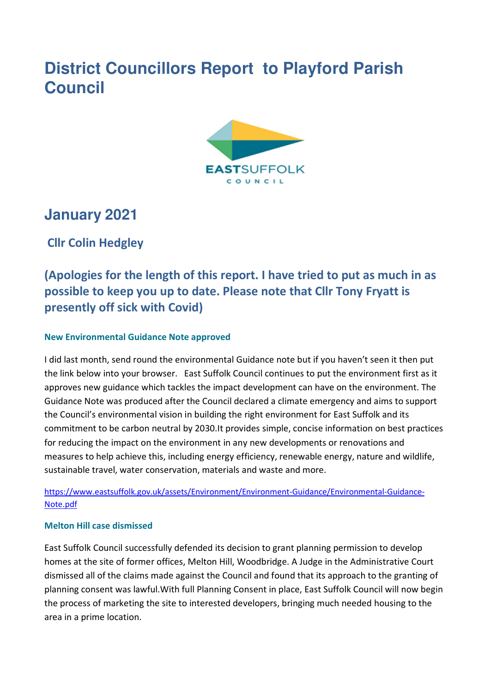# **District Councillors Report to Playford Parish Council**



## **January 2021**

**Cllr Colin Hedgley** 

## **(Apologies for the length of this report. I have tried to put as much in as possible to keep you up to date. Please note that Cllr Tony Fryatt is presently off sick with Covid)**

## **New Environmental Guidance Note approved**

I did last month, send round the environmental Guidance note but if you haven't seen it then put the link below into your browser. East Suffolk Council continues to put the environment first as it approves new guidance which tackles the impact development can have on the environment. The Guidance Note was produced after the Council declared a climate emergency and aims to support the Council's environmental vision in building the right environment for East Suffolk and its commitment to be carbon neutral by 2030.It provides simple, concise information on best practices for reducing the impact on the environment in any new developments or renovations and measures to help achieve this, including energy efficiency, renewable energy, nature and wildlife, sustainable travel, water conservation, materials and waste and more.

https://www.eastsuffolk.gov.uk/assets/Environment/Environment-Guidance/Environmental-Guidance-Note.pdf

### **Melton Hill case dismissed**

East Suffolk Council successfully defended its decision to grant planning permission to develop homes at the site of former offices, Melton Hill, Woodbridge. A Judge in the Administrative Court dismissed all of the claims made against the Council and found that its approach to the granting of planning consent was lawful.With full Planning Consent in place, East Suffolk Council will now begin the process of marketing the site to interested developers, bringing much needed housing to the area in a prime location.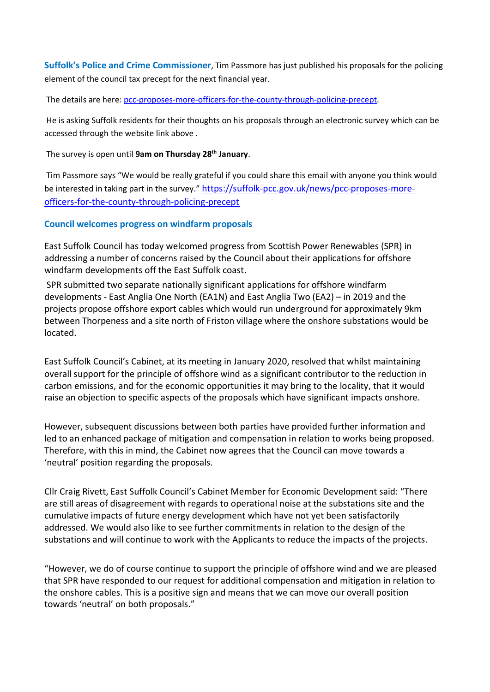**Suffolk's Police and Crime Commissioner**, Tim Passmore has just published his proposals for the policing element of the council tax precept for the next financial year.

The details are here: pcc-proposes-more-officers-for-the-county-through-policing-precept.

 He is asking Suffolk residents for their thoughts on his proposals through an electronic survey which can be accessed through the website link above .

The survey is open until **9am on Thursday 28th January**.

 Tim Passmore says "We would be really grateful if you could share this email with anyone you think would be interested in taking part in the survey." https://suffolk-pcc.gov.uk/news/pcc-proposes-moreofficers-for-the-county-through-policing-precept

#### **Council welcomes progress on windfarm proposals**

East Suffolk Council has today welcomed progress from Scottish Power Renewables (SPR) in addressing a number of concerns raised by the Council about their applications for offshore windfarm developments off the East Suffolk coast.

 SPR submitted two separate nationally significant applications for offshore windfarm developments - East Anglia One North (EA1N) and East Anglia Two (EA2) – in 2019 and the projects propose offshore export cables which would run underground for approximately 9km between Thorpeness and a site north of Friston village where the onshore substations would be located.

East Suffolk Council's Cabinet, at its meeting in January 2020, resolved that whilst maintaining overall support for the principle of offshore wind as a significant contributor to the reduction in carbon emissions, and for the economic opportunities it may bring to the locality, that it would raise an objection to specific aspects of the proposals which have significant impacts onshore.

However, subsequent discussions between both parties have provided further information and led to an enhanced package of mitigation and compensation in relation to works being proposed. Therefore, with this in mind, the Cabinet now agrees that the Council can move towards a 'neutral' position regarding the proposals.

Cllr Craig Rivett, East Suffolk Council's Cabinet Member for Economic Development said: "There are still areas of disagreement with regards to operational noise at the substations site and the cumulative impacts of future energy development which have not yet been satisfactorily addressed. We would also like to see further commitments in relation to the design of the substations and will continue to work with the Applicants to reduce the impacts of the projects.

"However, we do of course continue to support the principle of offshore wind and we are pleased that SPR have responded to our request for additional compensation and mitigation in relation to the onshore cables. This is a positive sign and means that we can move our overall position towards 'neutral' on both proposals."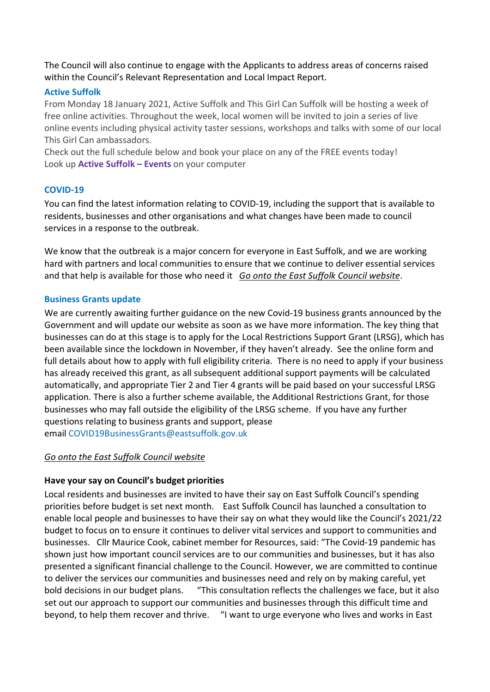The Council will also continue to engage with the Applicants to address areas of concerns raised within the Council's Relevant Representation and Local Impact Report.

### **Active Suffolk**

From Monday 18 January 2021, Active Suffolk and This Girl Can Suffolk will be hosting a week of free online activities. Throughout the week, local women will be invited to join a series of live online events including physical activity taster sessions, workshops and talks with some of our local This Girl Can ambassadors.

Check out the full schedule below and book your place on any of the FREE events today! Look up **Active Suffolk – Events** on your computer

### **COVID-19**

You can find the latest information relating to COVID-19, including the support that is available to residents, businesses and other organisations and what changes have been made to council services in a response to the outbreak.

We know that the outbreak is a major concern for everyone in East Suffolk, and we are working hard with partners and local communities to ensure that we continue to deliver essential services and that help is available for those who need it *Go onto the East Suffolk Council website*.

#### **Business Grants update**

We are currently awaiting further guidance on the new Covid-19 business grants announced by the Government and will update our website as soon as we have more information. The key thing that businesses can do at this stage is to apply for the Local Restrictions Support Grant (LRSG), which has been available since the lockdown in November, if they haven't already. See the online form and full details about how to apply with full eligibility criteria. There is no need to apply if your business has already received this grant, as all subsequent additional support payments will be calculated automatically, and appropriate Tier 2 and Tier 4 grants will be paid based on your successful LRSG application. There is also a further scheme available, the Additional Restrictions Grant, for those businesses who may fall outside the eligibility of the LRSG scheme. If you have any further questions relating to business grants and support, please email COVID19BusinessGrants@eastsuffolk.gov.uk

### *Go onto the East Suffolk Council website*

## **Have your say on Council's budget priorities**

Local residents and businesses are invited to have their say on East Suffolk Council's spending priorities before budget is set next month. East Suffolk Council has launched a consultation to enable local people and businesses to have their say on what they would like the Council's 2021/22 budget to focus on to ensure it continues to deliver vital services and support to communities and businesses. Cllr Maurice Cook, cabinet member for Resources, said: "The Covid-19 pandemic has shown just how important council services are to our communities and businesses, but it has also presented a significant financial challenge to the Council. However, we are committed to continue to deliver the services our communities and businesses need and rely on by making careful, yet bold decisions in our budget plans. "This consultation reflects the challenges we face, but it also set out our approach to support our communities and businesses through this difficult time and beyond, to help them recover and thrive. "I want to urge everyone who lives and works in East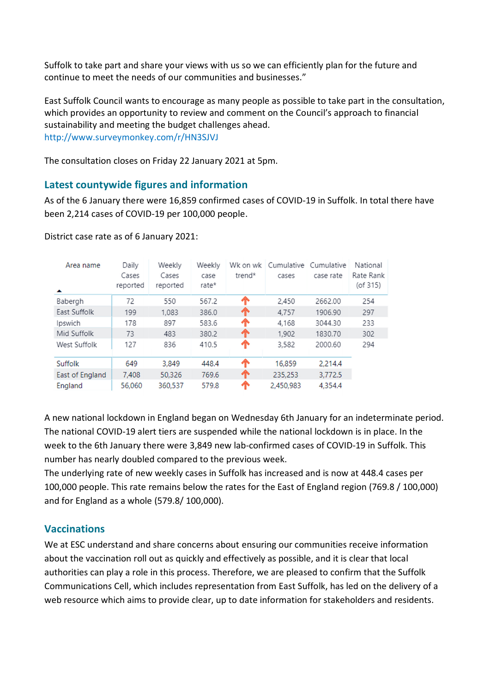Suffolk to take part and share your views with us so we can efficiently plan for the future and continue to meet the needs of our communities and businesses."

East Suffolk Council wants to encourage as many people as possible to take part in the consultation, which provides an opportunity to review and comment on the Council's approach to financial sustainability and meeting the budget challenges ahead. http://www.surveymonkey.com/r/HN3SJVJ

The consultation closes on Friday 22 January 2021 at 5pm.

### **Latest countywide figures and information**

As of the 6 January there were 16,859 confirmed cases of COVID-19 in Suffolk. In total there have been 2,214 cases of COVID-19 per 100,000 people.

| Area name<br>▴  | Daily<br>Cases<br>reported | Weekly<br>Cases<br>reported | Weekly<br>case<br>rate* | Wk on wk<br>trend* | Cumulative<br>cases | Cumulative<br>case rate | National<br>Rate Rank<br>(of 315) |
|-----------------|----------------------------|-----------------------------|-------------------------|--------------------|---------------------|-------------------------|-----------------------------------|
| Babergh         | 72                         | 550                         | 567.2                   | ♠                  | 2,450               | 2662.00                 | 254                               |
| East Suffolk    | 199                        | 1,083                       | 386.0                   | ጥ                  | 4.757               | 1906.90                 | 297                               |
| Ipswich         | 178                        | 897                         | 583.6                   | ጥ                  | 4,168               | 3044.30                 | 233                               |
| Mid Suffolk     | 73                         | 483                         | 380.2                   | ጥ                  | 1,902               | 1830.70                 | 302                               |
| West Suffolk    | 127                        | 836                         | 410.5                   | ↑                  | 3,582               | 2000.60                 | 294                               |
| Suffolk         | 649                        | 3.849                       | 448.4                   | ጥ                  | 16,859              | 2,214.4                 |                                   |
| East of England | 7,408                      | 50,326                      | 769.6                   | ጥ                  | 235,253             | 3,772.5                 |                                   |
| England         | 56.060                     | 360,537                     | 579.8                   |                    | 2,450,983           | 4.354.4                 |                                   |

District case rate as of 6 January 2021:

A new national lockdown in England began on Wednesday 6th January for an indeterminate period. The national COVID-19 alert tiers are suspended while the national lockdown is in place. In the week to the 6th January there were 3,849 new lab-confirmed cases of COVID-19 in Suffolk. This number has nearly doubled compared to the previous week.

The underlying rate of new weekly cases in Suffolk has increased and is now at 448.4 cases per 100,000 people. This rate remains below the rates for the East of England region (769.8 / 100,000) and for England as a whole (579.8/ 100,000).

## **Vaccinations**

We at ESC understand and share concerns about ensuring our communities receive information about the vaccination roll out as quickly and effectively as possible, and it is clear that local authorities can play a role in this process. Therefore, we are pleased to confirm that the Suffolk Communications Cell, which includes representation from East Suffolk, has led on the delivery of a web resource which aims to provide clear, up to date information for stakeholders and residents.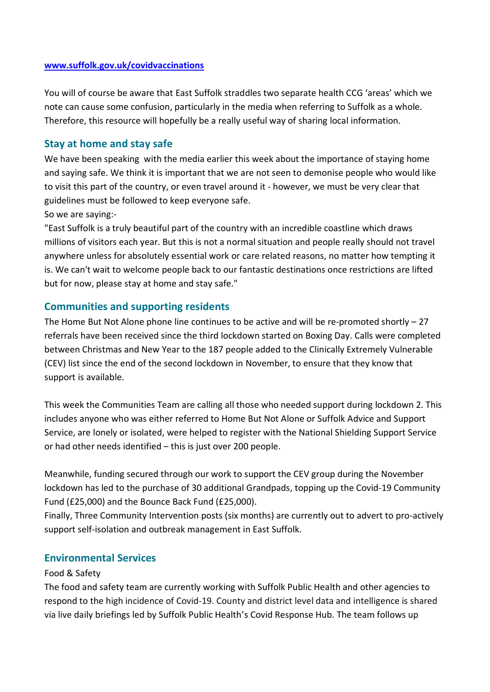#### **www.suffolk.gov.uk/covidvaccinations**

You will of course be aware that East Suffolk straddles two separate health CCG 'areas' which we note can cause some confusion, particularly in the media when referring to Suffolk as a whole. Therefore, this resource will hopefully be a really useful way of sharing local information.

#### **Stay at home and stay safe**

We have been speaking with the media earlier this week about the importance of staying home and saying safe. We think it is important that we are not seen to demonise people who would like to visit this part of the country, or even travel around it - however, we must be very clear that guidelines must be followed to keep everyone safe.

So we are saying:-

"East Suffolk is a truly beautiful part of the country with an incredible coastline which draws millions of visitors each year. But this is not a normal situation and people really should not travel anywhere unless for absolutely essential work or care related reasons, no matter how tempting it is. We can't wait to welcome people back to our fantastic destinations once restrictions are lifted but for now, please stay at home and stay safe."

### **Communities and supporting residents**

The Home But Not Alone phone line continues to be active and will be re-promoted shortly  $-27$ referrals have been received since the third lockdown started on Boxing Day. Calls were completed between Christmas and New Year to the 187 people added to the Clinically Extremely Vulnerable (CEV) list since the end of the second lockdown in November, to ensure that they know that support is available.

This week the Communities Team are calling all those who needed support during lockdown 2. This includes anyone who was either referred to Home But Not Alone or Suffolk Advice and Support Service, are lonely or isolated, were helped to register with the National Shielding Support Service or had other needs identified – this is just over 200 people.

Meanwhile, funding secured through our work to support the CEV group during the November lockdown has led to the purchase of 30 additional Grandpads, topping up the Covid-19 Community Fund (£25,000) and the Bounce Back Fund (£25,000).

Finally, Three Community Intervention posts (six months) are currently out to advert to pro-actively support self-isolation and outbreak management in East Suffolk.

## **Environmental Services**

#### Food & Safety

The food and safety team are currently working with Suffolk Public Health and other agencies to respond to the high incidence of Covid-19. County and district level data and intelligence is shared via live daily briefings led by Suffolk Public Health's Covid Response Hub. The team follows up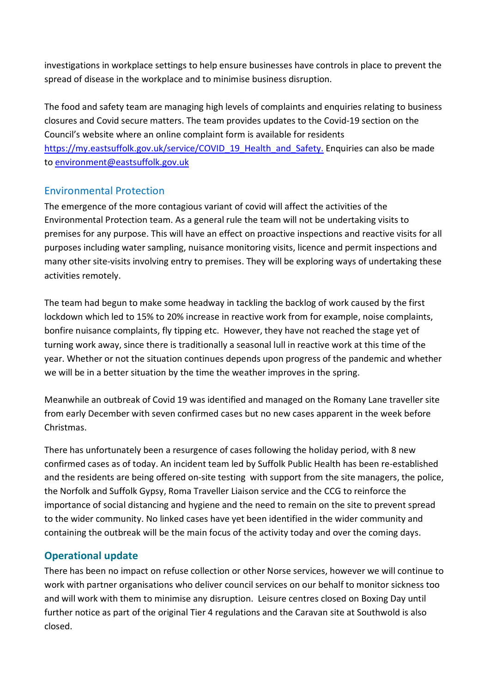investigations in workplace settings to help ensure businesses have controls in place to prevent the spread of disease in the workplace and to minimise business disruption.

The food and safety team are managing high levels of complaints and enquiries relating to business closures and Covid secure matters. The team provides updates to the Covid-19 section on the Council's website where an online complaint form is available for residents https://my.eastsuffolk.gov.uk/service/COVID\_19\_Health\_and\_Safety. Enquiries can also be made to environment@eastsuffolk.gov.uk

## Environmental Protection

The emergence of the more contagious variant of covid will affect the activities of the Environmental Protection team. As a general rule the team will not be undertaking visits to premises for any purpose. This will have an effect on proactive inspections and reactive visits for all purposes including water sampling, nuisance monitoring visits, licence and permit inspections and many other site-visits involving entry to premises. They will be exploring ways of undertaking these activities remotely.

The team had begun to make some headway in tackling the backlog of work caused by the first lockdown which led to 15% to 20% increase in reactive work from for example, noise complaints, bonfire nuisance complaints, fly tipping etc. However, they have not reached the stage yet of turning work away, since there is traditionally a seasonal lull in reactive work at this time of the year. Whether or not the situation continues depends upon progress of the pandemic and whether we will be in a better situation by the time the weather improves in the spring.

Meanwhile an outbreak of Covid 19 was identified and managed on the Romany Lane traveller site from early December with seven confirmed cases but no new cases apparent in the week before Christmas.

There has unfortunately been a resurgence of cases following the holiday period, with 8 new confirmed cases as of today. An incident team led by Suffolk Public Health has been re-established and the residents are being offered on-site testing with support from the site managers, the police, the Norfolk and Suffolk Gypsy, Roma Traveller Liaison service and the CCG to reinforce the importance of social distancing and hygiene and the need to remain on the site to prevent spread to the wider community. No linked cases have yet been identified in the wider community and containing the outbreak will be the main focus of the activity today and over the coming days.

## **Operational update**

There has been no impact on refuse collection or other Norse services, however we will continue to work with partner organisations who deliver council services on our behalf to monitor sickness too and will work with them to minimise any disruption. Leisure centres closed on Boxing Day until further notice as part of the original Tier 4 regulations and the Caravan site at Southwold is also closed.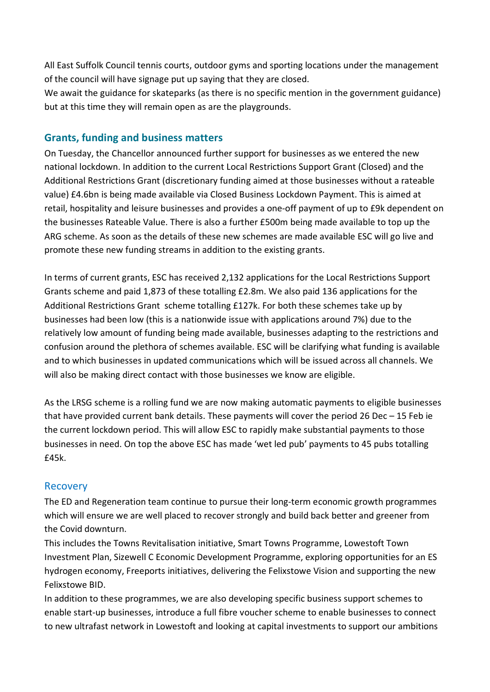All East Suffolk Council tennis courts, outdoor gyms and sporting locations under the management of the council will have signage put up saying that they are closed.

We await the guidance for skateparks (as there is no specific mention in the government guidance) but at this time they will remain open as are the playgrounds.

## **Grants, funding and business matters**

On Tuesday, the Chancellor announced further support for businesses as we entered the new national lockdown. In addition to the current Local Restrictions Support Grant (Closed) and the Additional Restrictions Grant (discretionary funding aimed at those businesses without a rateable value) £4.6bn is being made available via Closed Business Lockdown Payment. This is aimed at retail, hospitality and leisure businesses and provides a one-off payment of up to £9k dependent on the businesses Rateable Value. There is also a further £500m being made available to top up the ARG scheme. As soon as the details of these new schemes are made available ESC will go live and promote these new funding streams in addition to the existing grants.

In terms of current grants, ESC has received 2,132 applications for the Local Restrictions Support Grants scheme and paid 1,873 of these totalling £2.8m. We also paid 136 applications for the Additional Restrictions Grant scheme totalling £127k. For both these schemes take up by businesses had been low (this is a nationwide issue with applications around 7%) due to the relatively low amount of funding being made available, businesses adapting to the restrictions and confusion around the plethora of schemes available. ESC will be clarifying what funding is available and to which businesses in updated communications which will be issued across all channels. We will also be making direct contact with those businesses we know are eligible.

As the LRSG scheme is a rolling fund we are now making automatic payments to eligible businesses that have provided current bank details. These payments will cover the period 26 Dec – 15 Feb ie the current lockdown period. This will allow ESC to rapidly make substantial payments to those businesses in need. On top the above ESC has made 'wet led pub' payments to 45 pubs totalling £45k.

## Recovery

The ED and Regeneration team continue to pursue their long-term economic growth programmes which will ensure we are well placed to recover strongly and build back better and greener from the Covid downturn.

This includes the Towns Revitalisation initiative, Smart Towns Programme, Lowestoft Town Investment Plan, Sizewell C Economic Development Programme, exploring opportunities for an ES hydrogen economy, Freeports initiatives, delivering the Felixstowe Vision and supporting the new Felixstowe BID.

In addition to these programmes, we are also developing specific business support schemes to enable start-up businesses, introduce a full fibre voucher scheme to enable businesses to connect to new ultrafast network in Lowestoft and looking at capital investments to support our ambitions